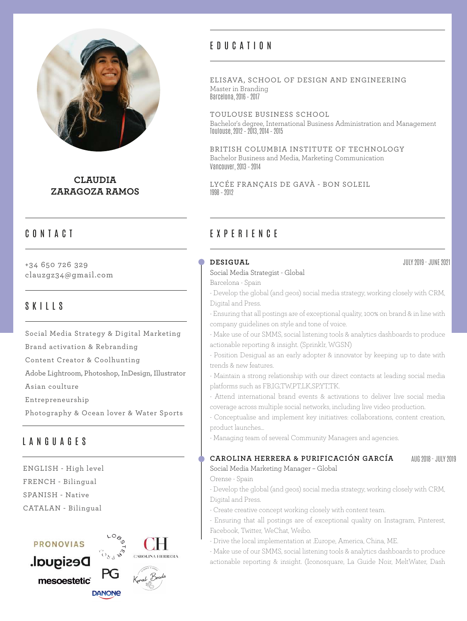

**CLAUDIA ZARAGOZA RAMOS**

# CONTACT

+34 650 726 329 clauzgz34@gmail.com

# SKILLS

Social Media Strategy & Digital Marketing Brand activation & Rebranding Content Creator & Coolhunting Adobe Lightroom, Photoshop, InDesign, Illustrator Asian coulture

Entrepreneurship

Photography & Ocean lover & Water Sports

# LANGUAGES

ENGLISH - High level FRENCH - Bilingual SPANISH - Native CATALAN - Bilingual

### **PRONOVIAS**

Desigual. mesoestetic® **DANONE** 



# EDUCATION

#### ELISAVA, SCHOOL OF DESIGN AND ENGINEERING Master in Branding Barcelona, 2016 – 2017

TOULOUSE BUSINESS SCHOOL Bachelor's degree, International Business Administration and Management Toulouse, 2012 – 2013, 2014 – 2015

BRITISH COLUMBIA INSTITUTE OF TECHNOLOGY Bachelor Business and Media, Marketing Communication Vancouver, 2013 – 2014

LYCÉE FRANÇAIS DE GAVÀ - BON SOLEIL 1998 – 2012

# EXPERIENCE

#### **DESIGUAL**

#### Social Media Strategist - Global

Barcelona - Spain

- Develop the global (and geos) social media strategy, working closely with CRM, Digital and Press.

- Ensuring that all postings are of exceptional quality, 100% on brand & in line with company guidelines on style and tone of voice.

- Make use of our SMMS, social listening tools & analytics dashboards to produce actionable reporting & insight. (Sprinklr, WGSN)

- Position Desigual as an early adopter & innovator by keeping up to date with trends & new features.

- Maintain a strong relationship with our direct contacts at leading social media platforms such as FB,IG,TW,PT,LK,SP,YT,TK.

- Attend international brand events & activations to deliver live social media coverage across multiple social networks, including live video production.

- Conceptualise and implement key initiatives: collaborations, content creation, product launches...

- Managing team of several Community Managers and agencies.

#### **CAROLINA HERRERA & PURIFICACIÓN GARCÍA** AUG 2018 - JULY 2019

Social Media Marketing Manager – Global Orense - Spain

- Develop the global (and geos) social media strategy, working closely with CRM, Digital and Press.

- Create creative concept working closely with content team.

- Ensuring that all postings are of exceptional quality on Instagram, Pinterest, Facebook, Twitter, WeChat, Weibo.

- Drive the local implementation at .Europe, America, China, ME.

- Make use of our SMMS, social listening tools & analytics dashboards to produce actionable reporting & insight. (Iconosquare, La Guide Noir, MeltWater, Dash

JULY 2019 - JUNE 2021